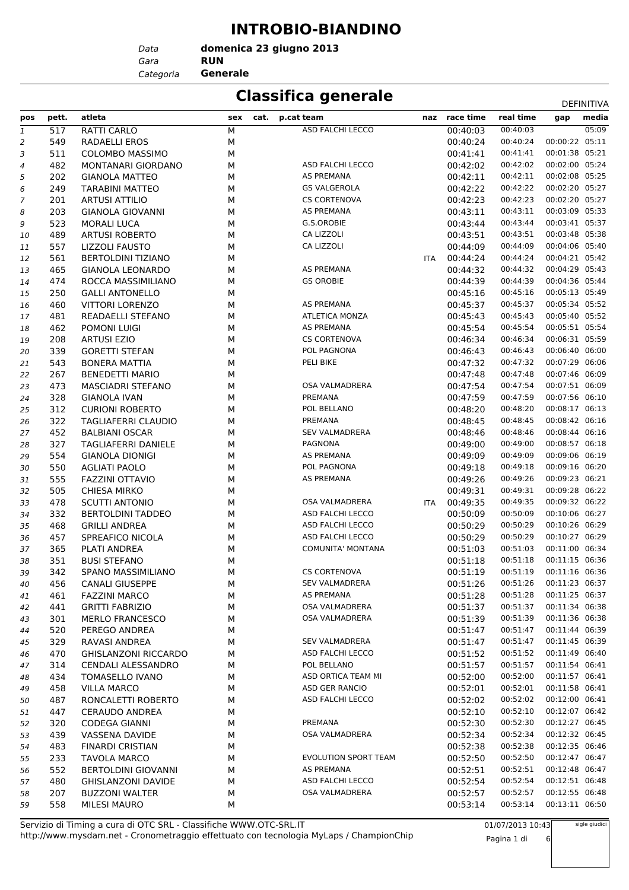#### **INTROBIO-BIANDINO**

**domenica 23 giugno 2013**

*Gara* **RUN** *Data Categoria* **Generale**

### **Classifica generale** Definitival Definitival

| pos | pett.      | atleta                                              | sex<br>cat.             | p.cat team               |     | naz race time        | real time            | gap                              | DEFINITIVA<br>media |
|-----|------------|-----------------------------------------------------|-------------------------|--------------------------|-----|----------------------|----------------------|----------------------------------|---------------------|
| 1   | 517        | RATTI CARLO                                         | $\overline{\mathsf{M}}$ | ASD FALCHI LECCO         |     | 00:40:03             | 00:40:03             |                                  | 05:09               |
| 2   | 549        | RADAELLI EROS                                       | М                       |                          |     | 00:40:24             | 00:40:24             | 00:00:22 05:11                   |                     |
| 3   | 511        | <b>COLOMBO MASSIMO</b>                              | М                       |                          |     | 00:41:41             | 00:41:41             | 00:01:38 05:21                   |                     |
| 4   | 482        | MONTANARI GIORDANO                                  | М                       | ASD FALCHI LECCO         |     | 00:42:02             | 00:42:02             | 00:02:00 05:24                   |                     |
| 5   | 202        | <b>GIANOLA MATTEO</b>                               | М                       | AS PREMANA               |     | 00:42:11             | 00:42:11             | 00:02:08 05:25                   |                     |
| 6   | 249        | <b>TARABINI MATTEO</b>                              | М                       | <b>GS VALGEROLA</b>      |     | 00:42:22             | 00:42:22             | 00:02:20 05:27                   |                     |
| 7   | 201        | <b>ARTUSI ATTILIO</b>                               | М                       | <b>CS CORTENOVA</b>      |     | 00:42:23             | 00:42:23             | 00:02:20 05:27                   |                     |
| 8   | 203        | <b>GIANOLA GIOVANNI</b>                             | М                       | AS PREMANA               |     | 00:43:11             | 00:43:11             | 00:03:09 05:33                   |                     |
| 9   | 523        | <b>MORALI LUCA</b>                                  | М                       | G.S.OROBIE               |     | 00:43:44             | 00:43:44             | 00:03:41 05:37                   |                     |
| 10  | 489        | ARTUSI ROBERTO                                      | М                       | CA LIZZOLI               |     | 00:43:51             | 00:43:51             | 00:03:48 05:38                   |                     |
| 11  | 557        | <b>LIZZOLI FAUSTO</b>                               | М                       | CA LIZZOLI               |     | 00:44:09             | 00:44:09             | 00:04:06 05:40                   |                     |
| 12  | 561        | <b>BERTOLDINI TIZIANO</b>                           | М                       |                          | ITA | 00:44:24             | 00:44:24             | 00:04:21 05:42                   |                     |
| 13  | 465        | <b>GIANOLA LEONARDO</b>                             | М                       | AS PREMANA               |     | 00:44:32             | 00:44:32             | 00:04:29 05:43                   |                     |
| 14  | 474        | ROCCA MASSIMILIANO                                  | М                       | <b>GS OROBIE</b>         |     | 00:44:39             | 00:44:39             | 00:04:36 05:44                   |                     |
| 15  | 250        | <b>GALLI ANTONELLO</b>                              | М                       |                          |     | 00:45:16             | 00:45:16             | 00:05:13 05:49                   |                     |
| 16  | 460        | <b>VITTORI LORENZO</b>                              | М                       | AS PREMANA               |     | 00:45:37             | 00:45:37             | 00:05:34 05:52                   |                     |
| 17  | 481        | READAELLI STEFANO                                   | М                       | <b>ATLETICA MONZA</b>    |     | 00:45:43             | 00:45:43             | 00:05:40 05:52                   |                     |
| 18  | 462        | POMONI LUIGI                                        | М                       | AS PREMANA               |     | 00:45:54             | 00:45:54             | 00:05:51 05:54                   |                     |
| 19  | 208        | <b>ARTUSI EZIO</b>                                  | М                       | <b>CS CORTENOVA</b>      |     | 00:46:34             | 00:46:34             | 00:06:31 05:59                   |                     |
| 20  | 339        | <b>GORETTI STEFAN</b>                               | М                       | POL PAGNONA              |     | 00:46:43             | 00:46:43             | 00:06:40 06:00                   |                     |
| 21  | 543        | <b>BONERA MATTIA</b>                                | М                       | PELI BIKE                |     | 00:47:32             | 00:47:32             | 00:07:29 06:06                   |                     |
| 22  | 267        | <b>BENEDETTI MARIO</b>                              | М                       |                          |     | 00:47:48             | 00:47:48             | 00:07:46 06:09                   |                     |
| 23  | 473        | <b>MASCIADRI STEFANO</b>                            | М                       | OSA VALMADRERA           |     | 00:47:54             | 00:47:54             | 00:07:51 06:09                   |                     |
| 24  | 328        | <b>GIANOLA IVAN</b>                                 | М                       | PREMANA                  |     | 00:47:59             | 00:47:59             | 00:07:56 06:10                   |                     |
| 25  | 312        | <b>CURIONI ROBERTO</b>                              | М                       | POL BELLANO              |     | 00:48:20             | 00:48:20             | 00:08:17 06:13                   |                     |
| 26  | 322        | TAGLIAFERRI CLAUDIO                                 | М                       | PREMANA                  |     | 00:48:45             | 00:48:45             | 00:08:42 06:16                   |                     |
| 27  | 452        | <b>BALBIANI OSCAR</b>                               | М                       | <b>SEV VALMADRERA</b>    |     | 00:48:46             | 00:48:46             | 00:08:44 06:16                   |                     |
| 28  | 327        | <b>TAGLIAFERRI DANIELE</b>                          | М                       | <b>PAGNONA</b>           |     | 00:49:00             | 00:49:00             | 00:08:57 06:18                   |                     |
| 29  | 554        | <b>GIANOLA DIONIGI</b>                              | М                       | AS PREMANA               |     | 00:49:09             | 00:49:09             | 00:09:06 06:19                   |                     |
| 30  | 550        | <b>AGLIATI PAOLO</b>                                | М                       | POL PAGNONA              |     | 00:49:18             | 00:49:18             | 00:09:16 06:20                   |                     |
| 31  | 555        | <b>FAZZINI OTTAVIO</b>                              | М                       | AS PREMANA               |     | 00:49:26             | 00:49:26             | 00:09:23 06:21                   |                     |
| 32  | 505        | <b>CHIESA MIRKO</b>                                 | М                       |                          |     | 00:49:31             | 00:49:31             | 00:09:28 06:22                   |                     |
| 33  | 478        | <b>SCUTTI ANTONIO</b>                               | М                       | OSA VALMADRERA           | ITA | 00:49:35             | 00:49:35             | 00:09:32 06:22                   |                     |
| 34  | 332        | <b>BERTOLDINI TADDEO</b>                            | М                       | ASD FALCHI LECCO         |     | 00:50:09             | 00:50:09             | 00:10:06 06:27                   |                     |
| 35  | 468        | <b>GRILLI ANDREA</b>                                | М                       | ASD FALCHI LECCO         |     | 00:50:29             | 00:50:29             | 00:10:26 06:29                   |                     |
| 36  | 457        | SPREAFICO NICOLA                                    | М                       | ASD FALCHI LECCO         |     | 00:50:29             | 00:50:29             | 00:10:27 06:29                   |                     |
| 37  | 365        | PLATI ANDREA                                        | М                       | <b>COMUNITA' MONTANA</b> |     | 00:51:03             | 00:51:03             | 00:11:00 06:34                   |                     |
| 38  | 351        | <b>BUSI STEFANO</b>                                 | М                       |                          |     | 00:51:18             | 00:51:18             | 00:11:15 06:36                   |                     |
| 39  | 342        | <b>SPANO MASSIMILIANO</b>                           | М                       | <b>CS CORTENOVA</b>      |     | 00:51:19             | 00:51:19             | 00:11:16 06:36                   |                     |
| 40  | 456        | <b>CANALI GIUSEPPE</b>                              | М                       | <b>SEV VALMADRERA</b>    |     | 00:51:26             | 00:51:26             | 00:11:23 06:37                   |                     |
| 41  | 461        | <b>FAZZINI MARCO</b>                                | М                       | AS PREMANA               |     | 00:51:28             | 00:51:28             | 00:11:25 06:37                   |                     |
| 42  | 441        | <b>GRITTI FABRIZIO</b>                              | М                       | OSA VALMADRERA           |     | 00:51:37             | 00:51:37             | 00:11:34 06:38                   |                     |
| 43  | 301        | <b>MERLO FRANCESCO</b>                              | М                       | OSA VALMADRERA           |     | 00:51:39             | 00:51:39<br>00:51:47 | 00:11:36 06:38<br>00:11:44 06:39 |                     |
| 44  | 520        | PEREGO ANDREA<br>RAVASI ANDREA                      | М                       | <b>SEV VALMADRERA</b>    |     | 00:51:47             |                      | 00:11:45 06:39                   |                     |
| 45  | 329        |                                                     | М                       | ASD FALCHI LECCO         |     | 00:51:47             | 00:51:47<br>00:51:52 | 00:11:49 06:40                   |                     |
| 46  | 470        | <b>GHISLANZONI RICCARDO</b>                         | М                       | POL BELLANO              |     | 00:51:52<br>00:51:57 | 00:51:57             | 00:11:54 06:41                   |                     |
| 47  | 314<br>434 | <b>CENDALI ALESSANDRO</b><br><b>TOMASELLO IVANO</b> | М<br>М                  | ASD ORTICA TEAM MI       |     | 00:52:00             | 00:52:00             | 00:11:57 06:41                   |                     |
| 48  |            | <b>VILLA MARCO</b>                                  |                         | ASD GER RANCIO           |     |                      | 00:52:01             | 00:11:58 06:41                   |                     |
| 49  | 458<br>487 | RONCALETTI ROBERTO                                  | М<br>М                  | ASD FALCHI LECCO         |     | 00:52:01<br>00:52:02 | 00:52:02             | 00:12:00 06:41                   |                     |
| 50  | 447        | <b>CERAUDO ANDREA</b>                               | М                       |                          |     | 00:52:10             | 00:52:10             | 00:12:07 06:42                   |                     |
| 51  | 320        | CODEGA GIANNI                                       | М                       | PREMANA                  |     | 00:52:30             | 00:52:30             | 00:12:27 06:45                   |                     |
| 52  |            |                                                     |                         | OSA VALMADRERA           |     | 00:52:34             | 00:52:34             | 00:12:32 06:45                   |                     |
| 53  | 439<br>483 | <b>VASSENA DAVIDE</b><br><b>FINARDI CRISTIAN</b>    | М<br>М                  |                          |     | 00:52:38             | 00:52:38             | 00:12:35 06:46                   |                     |
| 54  |            |                                                     |                         | EVOLUTION SPORT TEAM     |     |                      | 00:52:50             | 00:12:47 06:47                   |                     |
| 55  | 233<br>552 | <b>TAVOLA MARCO</b><br><b>BERTOLDINI GIOVANNI</b>   | М<br>М                  | AS PREMANA               |     | 00:52:50<br>00:52:51 | 00:52:51             | 00:12:48 06:47                   |                     |
| 56  | 480        | <b>GHISLANZONI DAVIDE</b>                           | М                       | ASD FALCHI LECCO         |     | 00:52:54             | 00:52:54             | 00:12:51 06:48                   |                     |
| 57  |            |                                                     |                         | OSA VALMADRERA           |     |                      | 00:52:57             | 00:12:55 06:48                   |                     |
| 58  | 207<br>558 | <b>BUZZONI WALTER</b><br><b>MILESI MAURO</b>        | М                       |                          |     | 00:52:57<br>00:53:14 | 00:53:14             | 00:13:11 06:50                   |                     |
| 59  |            |                                                     | М                       |                          |     |                      |                      |                                  |                     |

01/07/2013 10:43 Pagina 1 di 6 sigle giudici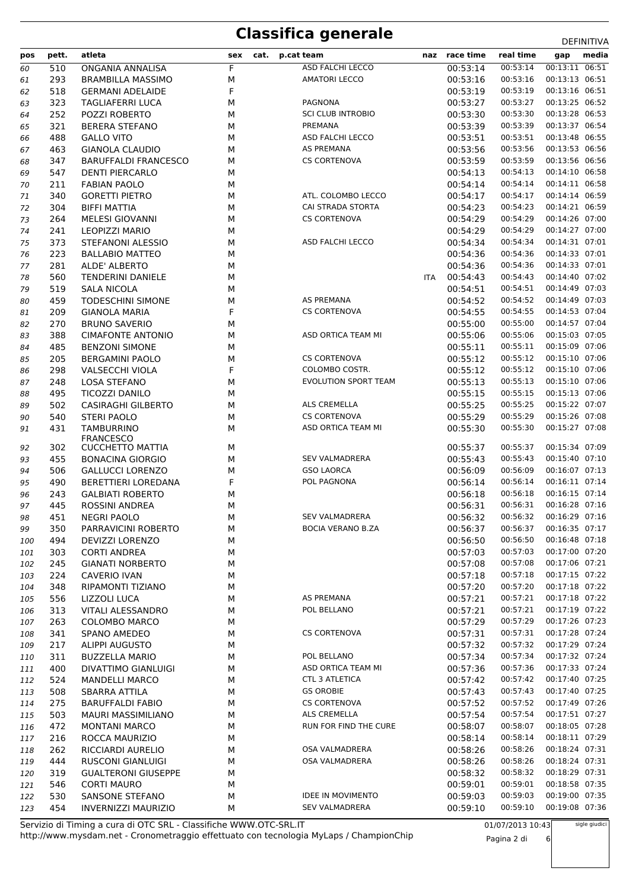| pos | pett. | atleta                      | sex | cat. | p.cat team               | naz | race time | real time | gap            | media |
|-----|-------|-----------------------------|-----|------|--------------------------|-----|-----------|-----------|----------------|-------|
|     | 510   | ONGANIA ANNALISA            | F   |      | ASD FALCHI LECCO         |     | 00:53:14  | 00:53:14  | 00:13:11 06:51 |       |
| 60  | 293   | <b>BRAMBILLA MASSIMO</b>    | М   |      | <b>AMATORI LECCO</b>     |     | 00:53:16  | 00:53:16  | 00:13:13 06:51 |       |
| 61  |       |                             |     |      |                          |     |           | 00:53:19  | 00:13:16 06:51 |       |
| 62  | 518   | <b>GERMANI ADELAIDE</b>     | F   |      | <b>PAGNONA</b>           |     | 00:53:19  |           | 00:13:25 06:52 |       |
| 63  | 323   | <b>TAGLIAFERRI LUCA</b>     | M   |      |                          |     | 00:53:27  | 00:53:27  |                |       |
| 64  | 252   | POZZI ROBERTO               | М   |      | <b>SCI CLUB INTROBIO</b> |     | 00:53:30  | 00:53:30  | 00:13:28 06:53 |       |
| 65  | 321   | <b>BERERA STEFANO</b>       | М   |      | PREMANA                  |     | 00:53:39  | 00:53:39  | 00:13:37 06:54 |       |
| 66  | 488   | <b>GALLO VITO</b>           | М   |      | ASD FALCHI LECCO         |     | 00:53:51  | 00:53:51  | 00:13:48 06:55 |       |
| 67  | 463   | <b>GIANOLA CLAUDIO</b>      | М   |      | <b>AS PREMANA</b>        |     | 00:53:56  | 00:53:56  | 00:13:53 06:56 |       |
| 68  | 347   | <b>BARUFFALDI FRANCESCO</b> | М   |      | <b>CS CORTENOVA</b>      |     | 00:53:59  | 00:53:59  | 00:13:56 06:56 |       |
| 69  | 547   | <b>DENTI PIERCARLO</b>      | М   |      |                          |     | 00:54:13  | 00:54:13  | 00:14:10 06:58 |       |
| 70  | 211   | <b>FABIAN PAOLO</b>         | М   |      |                          |     | 00:54:14  | 00:54:14  | 00:14:11 06:58 |       |
| 71  | 340   | <b>GORETTI PIETRO</b>       | М   |      | ATL. COLOMBO LECCO       |     | 00:54:17  | 00:54:17  | 00:14:14 06:59 |       |
| 72  | 304   | <b>BIFFI MATTIA</b>         | М   |      | CAI STRADA STORTA        |     | 00:54:23  | 00:54:23  | 00:14:21 06:59 |       |
| 73  | 264   | MELESI GIOVANNI             | М   |      | <b>CS CORTENOVA</b>      |     | 00:54:29  | 00:54:29  | 00:14:26 07:00 |       |
| 74  | 241   | <b>LEOPIZZI MARIO</b>       | М   |      |                          |     | 00:54:29  | 00:54:29  | 00:14:27 07:00 |       |
| 75  | 373   | STEFANONI ALESSIO           | М   |      | ASD FALCHI LECCO         |     | 00:54:34  | 00:54:34  | 00:14:31 07:01 |       |
| 76  | 223   | <b>BALLABIO MATTEO</b>      | М   |      |                          |     | 00:54:36  | 00:54:36  | 00:14:33 07:01 |       |
| 77  | 281   | ALDE' ALBERTO               | М   |      |                          |     | 00:54:36  | 00:54:36  | 00:14:33 07:01 |       |
| 78  | 560   | <b>TENDERINI DANIELE</b>    | М   |      |                          | ITA | 00:54:43  | 00:54:43  | 00:14:40 07:02 |       |
| 79  | 519   | <b>SALA NICOLA</b>          | М   |      |                          |     | 00:54:51  | 00:54:51  | 00:14:49 07:03 |       |
| 80  | 459   | <b>TODESCHINI SIMONE</b>    | М   |      | <b>AS PREMANA</b>        |     | 00:54:52  | 00:54:52  | 00:14:49 07:03 |       |
| 81  | 209   | <b>GIANOLA MARIA</b>        | F   |      | <b>CS CORTENOVA</b>      |     | 00:54:55  | 00:54:55  | 00:14:53 07:04 |       |
| 82  | 270   | <b>BRUNO SAVERIO</b>        | М   |      |                          |     | 00:55:00  | 00:55:00  | 00:14:57 07:04 |       |
| 83  | 388   | <b>CIMAFONTE ANTONIO</b>    | М   |      | ASD ORTICA TEAM MI       |     | 00:55:06  | 00:55:06  | 00:15:03 07:05 |       |
| 84  | 485   | <b>BENZONI SIMONE</b>       | М   |      |                          |     | 00:55:11  | 00:55:11  | 00:15:09 07:06 |       |
| 85  | 205   | <b>BERGAMINI PAOLO</b>      | М   |      | <b>CS CORTENOVA</b>      |     | 00:55:12  | 00:55:12  | 00:15:10 07:06 |       |
| 86  | 298   | <b>VALSECCHI VIOLA</b>      | F   |      | COLOMBO COSTR.           |     | 00:55:12  | 00:55:12  | 00:15:10 07:06 |       |
| 87  | 248   | <b>LOSA STEFANO</b>         | М   |      | EVOLUTION SPORT TEAM     |     | 00:55:13  | 00:55:13  | 00:15:10 07:06 |       |
| 88  | 495   | <b>TICOZZI DANILO</b>       | М   |      |                          |     | 00:55:15  | 00:55:15  | 00:15:13 07:06 |       |
| 89  | 502   | <b>CASIRAGHI GILBERTO</b>   | М   |      | ALS CREMELLA             |     | 00:55:25  | 00:55:25  | 00:15:22 07:07 |       |
| 90  | 540   | <b>STERI PAOLO</b>          | М   |      | <b>CS CORTENOVA</b>      |     | 00:55:29  | 00:55:29  | 00:15:26 07:08 |       |
| 91  | 431   | <b>TAMBURRINO</b>           | М   |      | ASD ORTICA TEAM MI       |     | 00:55:30  | 00:55:30  | 00:15:27 07:08 |       |
|     |       | <b>FRANCESCO</b>            |     |      |                          |     |           |           |                |       |
| 92  | 302   | <b>CUCCHETTO MATTIA</b>     | М   |      |                          |     | 00:55:37  | 00:55:37  | 00:15:34 07:09 |       |
| 93  | 455   | <b>BONACINA GIORGIO</b>     | М   |      | <b>SEV VALMADRERA</b>    |     | 00:55:43  | 00:55:43  | 00:15:40 07:10 |       |
| 94  | 506   | <b>GALLUCCI LORENZO</b>     | М   |      | <b>GSO LAORCA</b>        |     | 00:56:09  | 00:56:09  | 00:16:07 07:13 |       |
| 95  | 490   | BERETTIERI LOREDANA         | F   |      | POL PAGNONA              |     | 00:56:14  | 00:56:14  | 00:16:11 07:14 |       |
| 96  | 243   | <b>GALBIATI ROBERTO</b>     | М   |      |                          |     | 00:56:18  | 00:56:18  | 00:16:15 07:14 |       |
| 97  | 445   | <b>ROSSINI ANDREA</b>       | М   |      |                          |     | 00:56:31  | 00:56:31  | 00:16:28 07:16 |       |
| 98  | 451   | <b>NEGRI PAOLO</b>          | М   |      | <b>SEV VALMADRERA</b>    |     | 00:56:32  | 00:56:32  | 00:16:29 07:16 |       |
| 99  | 350   | PARRAVICINI ROBERTO         | М   |      | <b>BOCIA VERANO B.ZA</b> |     | 00:56:37  | 00:56:37  | 00:16:35 07:17 |       |
| 100 | 494   | DEVIZZI LORENZO             | М   |      |                          |     | 00:56:50  | 00:56:50  | 00:16:48 07:18 |       |
| 101 | 303   | <b>CORTI ANDREA</b>         | М   |      |                          |     | 00:57:03  | 00:57:03  | 00:17:00 07:20 |       |
| 102 | 245   | <b>GIANATI NORBERTO</b>     | М   |      |                          |     | 00:57:08  | 00:57:08  | 00:17:06 07:21 |       |
| 103 | 224   | <b>CAVERIO IVAN</b>         | М   |      |                          |     | 00:57:18  | 00:57:18  | 00:17:15 07:22 |       |
|     | 348   | RIPAMONTI TIZIANO           | М   |      |                          |     | 00:57:20  | 00:57:20  | 00:17:18 07:22 |       |
| 104 | 556   | LIZZOLI LUCA                | М   |      | AS PREMANA               |     | 00:57:21  | 00:57:21  | 00:17:18 07:22 |       |
| 105 | 313   | <b>VITALI ALESSANDRO</b>    | М   |      | POL BELLANO              |     | 00:57:21  | 00:57:21  | 00:17:19 07:22 |       |
| 106 |       |                             |     |      |                          |     |           | 00:57:29  | 00:17:26 07:23 |       |
| 107 | 263   | <b>COLOMBO MARCO</b>        | М   |      | <b>CS CORTENOVA</b>      |     | 00:57:29  |           | 00:17:28 07:24 |       |
| 108 | 341   | SPANO AMEDEO                | М   |      |                          |     | 00:57:31  | 00:57:31  |                |       |
| 109 | 217   | <b>ALIPPI AUGUSTO</b>       | М   |      |                          |     | 00:57:32  | 00:57:32  | 00:17:29 07:24 |       |
| 110 | 311   | <b>BUZZELLA MARIO</b>       | М   |      | POL BELLANO              |     | 00:57:34  | 00:57:34  | 00:17:32 07:24 |       |
| 111 | 400   | DIVATTIMO GIANLUIGI         | М   |      | ASD ORTICA TEAM MI       |     | 00:57:36  | 00:57:36  | 00:17:33 07:24 |       |
| 112 | 524   | <b>MANDELLI MARCO</b>       | М   |      | <b>CTL 3 ATLETICA</b>    |     | 00:57:42  | 00:57:42  | 00:17:40 07:25 |       |
| 113 | 508   | SBARRA ATTILA               | М   |      | <b>GS OROBIE</b>         |     | 00:57:43  | 00:57:43  | 00:17:40 07:25 |       |
| 114 | 275   | <b>BARUFFALDI FABIO</b>     | М   |      | <b>CS CORTENOVA</b>      |     | 00:57:52  | 00:57:52  | 00:17:49 07:26 |       |
| 115 | 503   | <b>MAURI MASSIMILIANO</b>   | М   |      | ALS CREMELLA             |     | 00:57:54  | 00:57:54  | 00:17:51 07:27 |       |
| 116 | 472   | <b>MONTANI MARCO</b>        | М   |      | RUN FOR FIND THE CURE    |     | 00:58:07  | 00:58:07  | 00:18:05 07:28 |       |
| 117 | 216   | ROCCA MAURIZIO              | М   |      |                          |     | 00:58:14  | 00:58:14  | 00:18:11 07:29 |       |
| 118 | 262   | RICCIARDI AURELIO           | М   |      | OSA VALMADRERA           |     | 00:58:26  | 00:58:26  | 00:18:24 07:31 |       |
| 119 | 444   | <b>RUSCONI GIANLUIGI</b>    | М   |      | OSA VALMADRERA           |     | 00:58:26  | 00:58:26  | 00:18:24 07:31 |       |
| 120 | 319   | <b>GUALTERONI GIUSEPPE</b>  | М   |      |                          |     | 00:58:32  | 00:58:32  | 00:18:29 07:31 |       |
| 121 | 546   | <b>CORTI MAURO</b>          | М   |      |                          |     | 00:59:01  | 00:59:01  | 00:18:58 07:35 |       |
| 122 | 530   | SANSONE STEFANO             | М   |      | <b>IDEE IN MOVIMENTO</b> |     | 00:59:03  | 00:59:03  | 00:19:00 07:35 |       |
| 123 | 454   | <b>INVERNIZZI MAURIZIO</b>  | М   |      | SEV VALMADRERA           |     | 00:59:10  | 00:59:10  | 00:19:08 07:36 |       |

http://www.mysdam.net - Cronometraggio effettuato con tecnologia MyLaps / ChampionChip Servizio di Timing a cura di OTC SRL - Classifiche WWW.OTC-SRL.IT

sigle giudici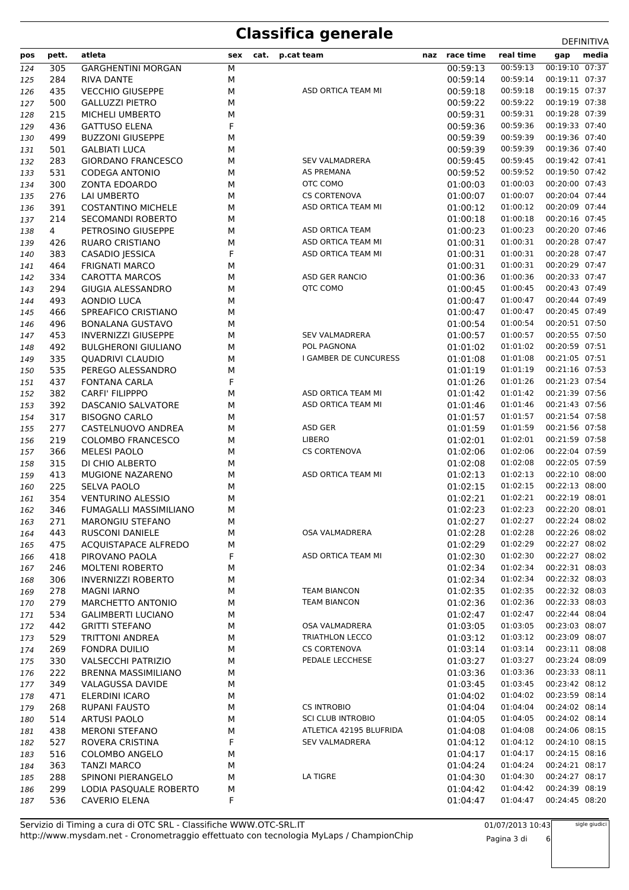| pos        | pett.      | atleta                                                | sex    | cat. | p.cat team               | naz | race time            | real time            | media<br>gap                     |
|------------|------------|-------------------------------------------------------|--------|------|--------------------------|-----|----------------------|----------------------|----------------------------------|
| 124        | 305        | <b>GARGHENTINI MORGAN</b>                             | М      |      |                          |     | 00:59:13             | 00:59:13             | 00:19:10 07:37                   |
| 125        | 284        | RIVA DANTE                                            | М      |      |                          |     | 00:59:14             | 00:59:14             | 00:19:11 07:37                   |
| 126        | 435        | <b>VECCHIO GIUSEPPE</b>                               | М      |      | ASD ORTICA TEAM MI       |     | 00:59:18             | 00:59:18             | 00:19:15 07:37                   |
| 127        | 500        | <b>GALLUZZI PIETRO</b>                                | М      |      |                          |     | 00:59:22             | 00:59:22             | 00:19:19 07:38                   |
| 128        | 215        | MICHELI UMBERTO                                       | М      |      |                          |     | 00:59:31             | 00:59:31             | 00:19:28 07:39                   |
| 129        | 436        | <b>GATTUSO ELENA</b>                                  | F      |      |                          |     | 00:59:36             | 00:59:36             | 00:19:33 07:40                   |
| 130        | 499        | <b>BUZZONI GIUSEPPE</b>                               | М      |      |                          |     | 00:59:39             | 00:59:39             | 00:19:36 07:40                   |
| 131        | 501        | <b>GALBIATI LUCA</b>                                  | М      |      |                          |     | 00:59:39             | 00:59:39             | 00:19:36 07:40                   |
| 132        | 283        | <b>GIORDANO FRANCESCO</b>                             | М      |      | <b>SEV VALMADRERA</b>    |     | 00:59:45             | 00:59:45             | 00:19:42 07:41                   |
| 133        | 531        | <b>CODEGA ANTONIO</b>                                 | М      |      | AS PREMANA               |     | 00:59:52             | 00:59:52             | 00:19:50 07:42                   |
| 134        | 300        | ZONTA EDOARDO                                         | М      |      | OTC COMO                 |     | 01:00:03             | 01:00:03             | 00:20:00 07:43                   |
| 135        | 276        | LAI UMBERTO                                           | М      |      | <b>CS CORTENOVA</b>      |     | 01:00:07             | 01:00:07             | 00:20:04 07:44                   |
| 136        | 391        | <b>COSTANTINO MICHELE</b>                             | М      |      | ASD ORTICA TEAM MI       |     | 01:00:12             | 01:00:12             | 00:20:09 07:44                   |
| 137        | 214        | SECOMANDI ROBERTO                                     | М      |      |                          |     | 01:00:18             | 01:00:18             | 00:20:16 07:45                   |
| 138        | 4          | PETROSINO GIUSEPPE                                    | М      |      | ASD ORTICA TEAM          |     | 01:00:23             | 01:00:23             | 00:20:20 07:46                   |
| 139        | 426        | RUARO CRISTIANO                                       | М      |      | ASD ORTICA TEAM MI       |     | 01:00:31             | 01:00:31             | 00:20:28 07:47                   |
| 140        | 383        | CASADIO JESSICA                                       | F      |      | ASD ORTICA TEAM MI       |     | 01:00:31             | 01:00:31             | 00:20:28 07:47                   |
| 141        | 464        | <b>FRIGNATI MARCO</b>                                 | М      |      |                          |     | 01:00:31             | 01:00:31             | 00:20:29 07:47                   |
| 142        | 334        | <b>CAROTTA MARCOS</b>                                 | М      |      | ASD GER RANCIO           |     | 01:00:36             | 01:00:36             | 00:20:33 07:47                   |
| 143        | 294        | <b>GIUGIA ALESSANDRO</b>                              | М      |      | <b>QTC COMO</b>          |     | 01:00:45             | 01:00:45             | 00:20:43 07:49                   |
| 144        | 493        | <b>AONDIO LUCA</b>                                    | М      |      |                          |     | 01:00:47             | 01:00:47             | 00:20:44 07:49                   |
| 145        | 466        | SPREAFICO CRISTIANO                                   | М      |      |                          |     | 01:00:47             | 01:00:47             | 00:20:45 07:49<br>00:20:51 07:50 |
| 146        | 496<br>453 | <b>BONALANA GUSTAVO</b><br><b>INVERNIZZI GIUSEPPE</b> | М      |      | <b>SEV VALMADRERA</b>    |     | 01:00:54<br>01:00:57 | 01:00:54<br>01:00:57 | 00:20:55 07:50                   |
| 147        | 492        | <b>BULGHERONI GIULIANO</b>                            | М<br>М |      | POL PAGNONA              |     | 01:01:02             | 01:01:02             | 00:20:59 07:51                   |
| 148<br>149 | 335        | <b>QUADRIVI CLAUDIO</b>                               | М      |      | I GAMBER DE CUNCURESS    |     | 01:01:08             | 01:01:08             | 00:21:05 07:51                   |
| 150        | 535        | PEREGO ALESSANDRO                                     | М      |      |                          |     | 01:01:19             | 01:01:19             | 00:21:16 07:53                   |
| 151        | 437        | <b>FONTANA CARLA</b>                                  | F      |      |                          |     | 01:01:26             | 01:01:26             | 00:21:23 07:54                   |
| 152        | 382        | <b>CARFI' FILIPPPO</b>                                | М      |      | ASD ORTICA TEAM MI       |     | 01:01:42             | 01:01:42             | 00:21:39 07:56                   |
| 153        | 392        | DASCANIO SALVATORE                                    | М      |      | ASD ORTICA TEAM MI       |     | 01:01:46             | 01:01:46             | 00:21:43 07:56                   |
| 154        | 317        | <b>BISOGNO CARLO</b>                                  | М      |      |                          |     | 01:01:57             | 01:01:57             | 00:21:54 07:58                   |
| 155        | 277        | CASTELNUOVO ANDREA                                    | М      |      | ASD GER                  |     | 01:01:59             | 01:01:59             | 00:21:56 07:58                   |
| 156        | 219        | <b>COLOMBO FRANCESCO</b>                              | М      |      | LIBERO                   |     | 01:02:01             | 01:02:01             | 00:21:59 07:58                   |
| 157        | 366        | <b>MELESI PAOLO</b>                                   | М      |      | <b>CS CORTENOVA</b>      |     | 01:02:06             | 01:02:06             | 00:22:04 07:59                   |
| 158        | 315        | DI CHIO ALBERTO                                       | М      |      |                          |     | 01:02:08             | 01:02:08             | 00:22:05 07:59                   |
| 159        | 413        | MUGIONE NAZARENO                                      | М      |      | ASD ORTICA TEAM MI       |     | 01:02:13             | 01:02:13             | 00:22:10 08:00                   |
| 160        | 225        | <b>SELVA PAOLO</b>                                    | М      |      |                          |     | 01:02:15             | 01:02:15             | 00:22:13 08:00                   |
| 161        | 354        | <b>VENTURINO ALESSIO</b>                              | М      |      |                          |     | 01:02:21             | 01:02:21             | 00:22:19 08:01                   |
| 162        | 346        | FUMAGALLI MASSIMILIANO                                | М      |      |                          |     | 01:02:23             | 01:02:23             | 00:22:20 08:01                   |
| 163        | 271        | MARONGIU STEFANO                                      | М      |      |                          |     | 01:02:27             | 01:02:27             | 00:22:24 08:02                   |
| 164        | 443        | <b>RUSCONI DANIELE</b>                                | М      |      | OSA VALMADRERA           |     | 01:02:28             | 01:02:28             | 00:22:26 08:02                   |
| 165        | 475        | <b>ACQUISTAPACE ALFREDO</b>                           | М      |      |                          |     | 01:02:29             | 01:02:29             | 00:22:27 08:02                   |
| 166        | 418        | PIROVANO PAOLA                                        | F      |      | ASD ORTICA TEAM MI       |     | 01:02:30             | 01:02:30             | 00:22:27 08:02                   |
| 167        | 246        | <b>MOLTENI ROBERTO</b>                                | М      |      |                          |     | 01:02:34             | 01:02:34             | 00:22:31 08:03                   |
| 168        | 306        | <b>INVERNIZZI ROBERTO</b>                             | М      |      |                          |     | 01:02:34             | 01:02:34             | 00:22:32 08:03                   |
| 169        | 278        | <b>MAGNI IARNO</b>                                    | М      |      | <b>TEAM BIANCON</b>      |     | 01:02:35             | 01:02:35             | 00:22:32 08:03                   |
| 170        | 279        | MARCHETTO ANTONIO                                     | М      |      | <b>TEAM BIANCON</b>      |     | 01:02:36             | 01:02:36             | 00:22:33 08:03                   |
| 171        | 534        | <b>GALIMBERTI LUCIANO</b>                             | М      |      | OSA VALMADRERA           |     | 01:02:47             | 01:02:47             | 00:22:44 08:04<br>00:23:03 08:07 |
| 172        | 442        | <b>GRITTI STEFANO</b>                                 | М      |      | <b>TRIATHLON LECCO</b>   |     | 01:03:05             | 01:03:05<br>01:03:12 | 00:23:09 08:07                   |
| 173        | 529        | <b>TRITTONI ANDREA</b>                                | М      |      | <b>CS CORTENOVA</b>      |     | 01:03:12<br>01:03:14 | 01:03:14             | 00:23:11 08:08                   |
| 174<br>175 | 269<br>330 | FONDRA DUILIO<br><b>VALSECCHI PATRIZIO</b>            | М<br>М |      | PEDALE LECCHESE          |     | 01:03:27             | 01:03:27             | 00:23:24 08:09                   |
| 176        | 222        | BRENNA MASSIMILIANO                                   | М      |      |                          |     | 01:03:36             | 01:03:36             | 00:23:33 08:11                   |
| 177        | 349        | <b>VALAGUSSA DAVIDE</b>                               | М      |      |                          |     | 01:03:45             | 01:03:45             | 00:23:42 08:12                   |
| 178        | 471        | ELERDINI ICARO                                        | М      |      |                          |     | 01:04:02             | 01:04:02             | 00:23:59 08:14                   |
| 179        | 268        | RUPANI FAUSTO                                         | М      |      | <b>CS INTROBIO</b>       |     | 01:04:04             | 01:04:04             | 00:24:02 08:14                   |
| 180        | 514        | <b>ARTUSI PAOLO</b>                                   | М      |      | <b>SCI CLUB INTROBIO</b> |     | 01:04:05             | 01:04:05             | 00:24:02 08:14                   |
| 181        | 438        | <b>MERONI STEFANO</b>                                 | М      |      | ATLETICA 42195 BLUFRIDA  |     | 01:04:08             | 01:04:08             | 00:24:06 08:15                   |
| 182        | 527        | ROVERA CRISTINA                                       | F      |      | <b>SEV VALMADRERA</b>    |     | 01:04:12             | 01:04:12             | 00:24:10 08:15                   |
| 183        | 516        | <b>COLOMBO ANGELO</b>                                 | М      |      |                          |     | 01:04:17             | 01:04:17             | 00:24:15 08:16                   |
| 184        | 363        | <b>TANZI MARCO</b>                                    | М      |      |                          |     | 01:04:24             | 01:04:24             | 00:24:21 08:17                   |
| 185        | 288        | SPINONI PIERANGELO                                    | М      |      | LA TIGRE                 |     | 01:04:30             | 01:04:30             | 00:24:27 08:17                   |
| 186        | 299        | LODIA PASQUALE ROBERTO                                | М      |      |                          |     | 01:04:42             | 01:04:42             | 00:24:39 08:19                   |
| 187        | 536        | CAVERIO ELENA                                         | F      |      |                          |     | 01:04:47             | 01:04:47             | 00:24:45 08:20                   |

http://www.mysdam.net - Cronometraggio effettuato con tecnologia MyLaps / ChampionChip Servizio di Timing a cura di OTC SRL - Classifiche WWW.OTC-SRL.IT

01/07/2013 10:43 Pagina 3 di 6 sigle giudici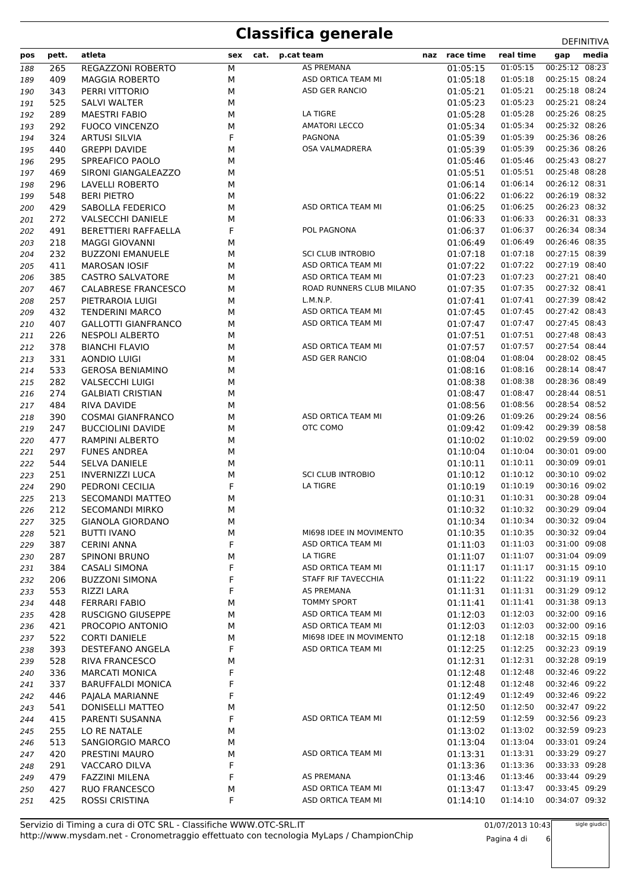| pos | pett. | atleta                     | sex | cat. | p.cat team               | naz race time | real time               | gap            | media |
|-----|-------|----------------------------|-----|------|--------------------------|---------------|-------------------------|----------------|-------|
| 188 | 265   | <b>REGAZZONI ROBERTO</b>   | M   |      | AS PREMANA               | 01:05:15      | 01:05:15                | 00:25:12 08:23 |       |
| 189 | 409   | <b>MAGGIA ROBERTO</b>      | М   |      | ASD ORTICA TEAM MI       | 01:05:18      | 01:05:18                | 00:25:15 08:24 |       |
| 190 | 343   | PERRI VITTORIO             | M   |      | ASD GER RANCIO           | 01:05:21      | 01:05:21                | 00:25:18 08:24 |       |
| 191 | 525   | SALVI WALTER               | М   |      |                          | 01:05:23      | 01:05:23                | 00:25:21 08:24 |       |
| 192 | 289   | <b>MAESTRI FABIO</b>       | М   |      | LA TIGRE                 | 01:05:28      | 01:05:28                | 00:25:26 08:25 |       |
| 193 | 292   | <b>FUOCO VINCENZO</b>      | M   |      | <b>AMATORI LECCO</b>     | 01:05:34      | 01:05:34                | 00:25:32 08:26 |       |
| 194 | 324   | <b>ARTUSI SILVIA</b>       | F   |      | PAGNONA                  | 01:05:39      | 01:05:39                | 00:25:36 08:26 |       |
| 195 | 440   | <b>GREPPI DAVIDE</b>       | М   |      | OSA VALMADRERA           | 01:05:39      | 01:05:39                | 00:25:36 08:26 |       |
| 196 | 295   | SPREAFICO PAOLO            | М   |      |                          | 01:05:46      | 01:05:46                | 00:25:43 08:27 |       |
| 197 | 469   | SIRONI GIANGALEAZZO        | М   |      |                          | 01:05:51      | 01:05:51                | 00:25:48 08:28 |       |
| 198 | 296   | LAVELLI ROBERTO            | М   |      |                          | 01:06:14      | 01:06:14                | 00:26:12 08:31 |       |
| 199 | 548   | <b>BERI PIETRO</b>         | М   |      |                          | 01:06:22      | 01:06:22                | 00:26:19 08:32 |       |
| 200 | 429   | SABOLLA FEDERICO           | М   |      | ASD ORTICA TEAM MI       | 01:06:25      | 01:06:25                | 00:26:23 08:32 |       |
| 201 | 272   | <b>VALSECCHI DANIELE</b>   | М   |      |                          | 01:06:33      | 01:06:33                | 00:26:31 08:33 |       |
| 202 | 491   | BERETTIERI RAFFAELLA       | F   |      | POL PAGNONA              | 01:06:37      | 01:06:37                | 00:26:34 08:34 |       |
| 203 | 218   | <b>MAGGI GIOVANNI</b>      | М   |      |                          | 01:06:49      | 01:06:49                | 00:26:46 08:35 |       |
| 204 | 232   | <b>BUZZONI EMANUELE</b>    | М   |      | <b>SCI CLUB INTROBIO</b> | 01:07:18      | 01:07:18                | 00:27:15 08:39 |       |
| 205 | 411   | <b>MAROSAN IOSIF</b>       | М   |      | ASD ORTICA TEAM MI       | 01:07:22      | 01:07:22                | 00:27:19 08:40 |       |
| 206 | 385   | <b>CASTRO SALVATORE</b>    | М   |      | ASD ORTICA TEAM MI       | 01:07:23      | 01:07:23                | 00:27:21 08:40 |       |
| 207 | 467   | CALABRESE FRANCESCO        | М   |      | ROAD RUNNERS CLUB MILANO | 01:07:35      | 01:07:35                | 00:27:32 08:41 |       |
| 208 | 257   | PIETRAROIA LUIGI           | М   |      | L.M.N.P.                 | 01:07:41      | 01:07:41                | 00:27:39 08:42 |       |
| 209 | 432   | <b>TENDERINI MARCO</b>     | М   |      | ASD ORTICA TEAM MI       | 01:07:45      | 01:07:45                | 00:27:42 08:43 |       |
| 210 | 407   | <b>GALLOTTI GIANFRANCO</b> | М   |      | ASD ORTICA TEAM MI       | 01:07:47      | 01:07:47                | 00:27:45 08:43 |       |
| 211 | 226   | <b>NESPOLI ALBERTO</b>     | М   |      |                          | 01:07:51      | 01:07:51                | 00:27:48 08:43 |       |
| 212 | 378   | <b>BIANCHI FLAVIO</b>      | М   |      | ASD ORTICA TEAM MI       | 01:07:57      | 01:07:57                | 00:27:54 08:44 |       |
| 213 | 331   | <b>AONDIO LUIGI</b>        | М   |      | ASD GER RANCIO           | 01:08:04      | 01:08:04                | 00:28:02 08:45 |       |
| 214 | 533   | <b>GEROSA BENIAMINO</b>    | М   |      |                          | 01:08:16      | 01:08:16                | 00:28:14 08:47 |       |
| 215 | 282   | <b>VALSECCHI LUIGI</b>     | М   |      |                          | 01:08:38      | 01:08:38                | 00:28:36 08:49 |       |
| 216 | 274   | <b>GALBIATI CRISTIAN</b>   | М   |      |                          | 01:08:47      | 01:08:47                | 00:28:44 08:51 |       |
| 217 | 484   | RIVA DAVIDE                | М   |      |                          | 01:08:56      | 01:08:56                | 00:28:54 08:52 |       |
| 218 | 390   | <b>COSMAI GIANFRANCO</b>   | М   |      | ASD ORTICA TEAM MI       | 01:09:26      | 01:09:26                | 00:29:24 08:56 |       |
| 219 | 247   | <b>BUCCIOLINI DAVIDE</b>   | М   |      | OTC COMO                 | 01:09:42      | 01:09:42                | 00:29:39 08:58 |       |
| 220 | 477   | <b>RAMPINI ALBERTO</b>     | М   |      |                          | 01:10:02      | 01:10:02                | 00:29:59 09:00 |       |
| 221 | 297   | <b>FUNES ANDREA</b>        | М   |      |                          | 01:10:04      | 01:10:04                | 00:30:01 09:00 |       |
| 222 | 544   | SELVA DANIELE              | М   |      |                          | 01:10:11      | 01:10:11                | 00:30:09 09:01 |       |
| 223 | 251   | <b>INVERNIZZI LUCA</b>     | М   |      | <b>SCI CLUB INTROBIO</b> | 01:10:12      | 01:10:12                | 00:30:10 09:02 |       |
| 224 | 290   | PEDRONI CECILIA            | F   |      | <b>LA TIGRE</b>          | 01:10:19      | 01:10:19                | 00:30:16 09:02 |       |
| 225 | 213   | SECOMANDI MATTEO           | М   |      |                          | 01:10:31      | 01:10:31                | 00:30:28 09:04 |       |
| 226 | 212   | <b>SECOMANDI MIRKO</b>     | М   |      |                          | 01:10:32      | 01:10:32                | 00:30:29 09:04 |       |
| 227 | 325   | <b>GIANOLA GIORDANO</b>    | М   |      |                          | 01:10:34      | 01:10:34 00:30:32 09:04 |                |       |
| 228 | 521   | <b>BUTTI IVANO</b>         | м   |      | MI698 IDEE IN MOVIMENTO  | 01:10:35      | 01:10:35                | 00:30:32 09:04 |       |
| 229 | 387   | <b>CERINI ANNA</b>         | F   |      | ASD ORTICA TEAM MI       | 01:11:03      | 01:11:03                | 00:31:00 09:08 |       |
| 230 | 287   | <b>SPINONI BRUNO</b>       | м   |      | LA TIGRE                 | 01:11:07      | 01:11:07                | 00:31:04 09:09 |       |
| 231 | 384   | <b>CASALI SIMONA</b>       | F   |      | ASD ORTICA TEAM MI       | 01:11:17      | 01:11:17                | 00:31:15 09:10 |       |
| 232 | 206   | <b>BUZZONI SIMONA</b>      | F   |      | STAFF RIF TAVECCHIA      | 01:11:22      | 01:11:22                | 00:31:19 09:11 |       |
| 233 | 553   | RIZZI LARA                 | F   |      | AS PREMANA               | 01:11:31      | 01:11:31                | 00:31:29 09:12 |       |
| 234 | 448   | <b>FERRARI FABIO</b>       | М   |      | TOMMY SPORT              | 01:11:41      | 01:11:41                | 00:31:38 09:13 |       |
| 235 | 428   | <b>RUSCIGNO GIUSEPPE</b>   | М   |      | ASD ORTICA TEAM MI       | 01:12:03      | 01:12:03                | 00:32:00 09:16 |       |
| 236 | 421   | PROCOPIO ANTONIO           | М   |      | ASD ORTICA TEAM MI       | 01:12:03      | 01:12:03                | 00:32:00 09:16 |       |
| 237 | 522   | <b>CORTI DANIELE</b>       | М   |      | MI698 IDEE IN MOVIMENTO  | 01:12:18      | 01:12:18                | 00:32:15 09:18 |       |
| 238 | 393   | <b>DESTEFANO ANGELA</b>    | F   |      | ASD ORTICA TEAM MI       | 01:12:25      | 01:12:25                | 00:32:23 09:19 |       |
| 239 | 528   | <b>RIVA FRANCESCO</b>      | М   |      |                          | 01:12:31      | 01:12:31                | 00:32:28 09:19 |       |
| 240 | 336   | <b>MARCATI MONICA</b>      | F   |      |                          | 01:12:48      | 01:12:48                | 00:32:46 09:22 |       |
| 241 | 337   | <b>BARUFFALDI MONICA</b>   | F   |      |                          | 01:12:48      | 01:12:48                | 00:32:46 09:22 |       |
| 242 | 446   | PAJALA MARIANNE            | F   |      |                          | 01:12:49      | 01:12:49                | 00:32:46 09:22 |       |
| 243 | 541   | DONISELLI MATTEO           | м   |      |                          | 01:12:50      | 01:12:50                | 00:32:47 09:22 |       |
| 244 | 415   | PARENTI SUSANNA            | F   |      | ASD ORTICA TEAM MI       | 01:12:59      | 01:12:59                | 00:32:56 09:23 |       |
| 245 | 255   | LO RE NATALE               | М   |      |                          | 01:13:02      | 01:13:02                | 00:32:59 09:23 |       |
| 246 | 513   | SANGIORGIO MARCO           | М   |      |                          | 01:13:04      | 01:13:04                | 00:33:01 09:24 |       |
| 247 | 420   | PRESTINI MAURO             | М   |      | ASD ORTICA TEAM MI       | 01:13:31      | 01:13:31                | 00:33:29 09:27 |       |
| 248 | 291   | VACCARO DILVA              | F   |      |                          | 01:13:36      | 01:13:36                | 00:33:33 09:28 |       |
| 249 | 479   | <b>FAZZINI MILENA</b>      | F   |      | AS PREMANA               | 01:13:46      | 01:13:46                | 00:33:44 09:29 |       |
| 250 | 427   | <b>RUO FRANCESCO</b>       | М   |      | ASD ORTICA TEAM MI       | 01:13:47      | 01:13:47                | 00:33:45 09:29 |       |
| 251 | 425   | ROSSI CRISTINA             | F   |      | ASD ORTICA TEAM MI       | 01:14:10      | 01:14:10                | 00:34:07 09:32 |       |

01/07/2013 10:43 Pagina 4 di 6

sigle giudici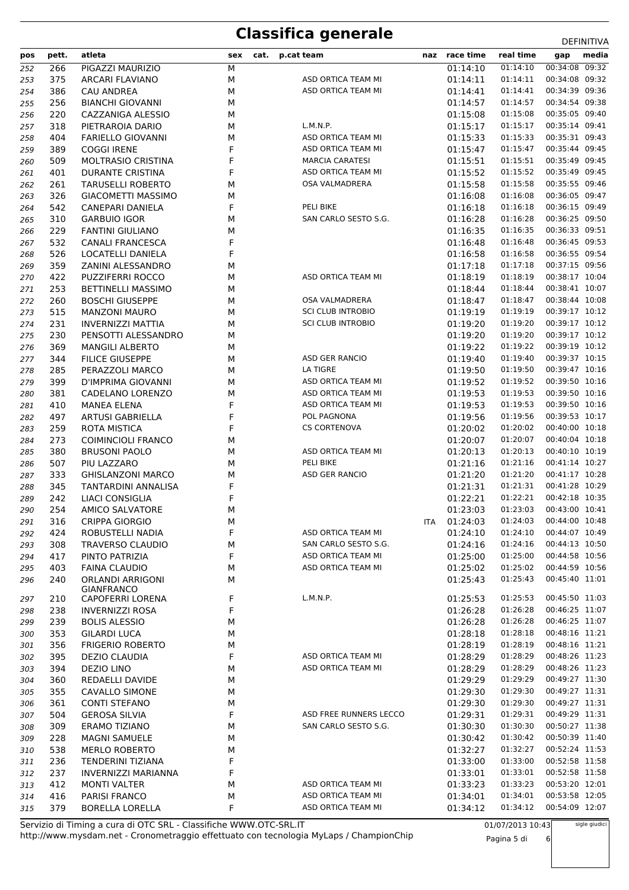| pos | pett. | atleta                                       | sex | cat. | p.cat team               | naz race time | real time               | gap            | media |
|-----|-------|----------------------------------------------|-----|------|--------------------------|---------------|-------------------------|----------------|-------|
| 252 | 266   | PIGAZZI MAURIZIO                             | М   |      |                          | 01:14:10      | 01:14:10                | 00:34:08 09:32 |       |
| 253 | 375   | ARCARI FLAVIANO                              | М   |      | ASD ORTICA TEAM MI       | 01:14:11      | 01:14:11                | 00:34:08 09:32 |       |
| 254 | 386   | <b>CAU ANDREA</b>                            | м   |      | ASD ORTICA TEAM MI       | 01:14:41      | 01:14:41                | 00:34:39 09:36 |       |
| 255 | 256   | <b>BIANCHI GIOVANNI</b>                      | м   |      |                          | 01:14:57      | 01:14:57                | 00:34:54 09:38 |       |
| 256 | 220   | CAZZANIGA ALESSIO                            | м   |      |                          | 01:15:08      | 01:15:08                | 00:35:05 09:40 |       |
| 257 | 318   | PIETRAROIA DARIO                             | М   |      | L.M.N.P.                 | 01:15:17      | 01:15:17                | 00:35:14 09:41 |       |
| 258 | 404   | <b>FARIELLO GIOVANNI</b>                     | М   |      | ASD ORTICA TEAM MI       | 01:15:33      | 01:15:33                | 00:35:31 09:43 |       |
| 259 | 389   | <b>COGGI IRENE</b>                           | F   |      | ASD ORTICA TEAM MI       | 01:15:47      | 01:15:47                | 00:35:44 09:45 |       |
| 260 | 509   | <b>MOLTRASIO CRISTINA</b>                    | F   |      | <b>MARCIA CARATESI</b>   | 01:15:51      | 01:15:51                | 00:35:49 09:45 |       |
| 261 | 401   | <b>DURANTE CRISTINA</b>                      | F   |      | ASD ORTICA TEAM MI       | 01:15:52      | 01:15:52                | 00:35:49 09:45 |       |
| 262 | 261   | <b>TARUSELLI ROBERTO</b>                     | М   |      | OSA VALMADRERA           | 01:15:58      | 01:15:58                | 00:35:55 09:46 |       |
| 263 | 326   | <b>GIACOMETTI MASSIMO</b>                    | М   |      |                          | 01:16:08      | 01:16:08                | 00:36:05 09:47 |       |
| 264 | 542   | CANEPARI DANIELA                             | F   |      | PELI BIKE                | 01:16:18      | 01:16:18                | 00:36:15 09:49 |       |
| 265 | 310   | <b>GARBUIO IGOR</b>                          | м   |      | SAN CARLO SESTO S.G.     | 01:16:28      | 01:16:28                | 00:36:25 09:50 |       |
| 266 | 229   | <b>FANTINI GIULIANO</b>                      | м   |      |                          | 01:16:35      | 01:16:35                | 00:36:33 09:51 |       |
| 267 | 532   | <b>CANALI FRANCESCA</b>                      | F   |      |                          | 01:16:48      | 01:16:48                | 00:36:45 09:53 |       |
| 268 | 526   | LOCATELLI DANIELA                            | F   |      |                          | 01:16:58      | 01:16:58                | 00:36:55 09:54 |       |
| 269 | 359   | ZANINI ALESSANDRO                            | М   |      |                          | 01:17:18      | 01:17:18                | 00:37:15 09:56 |       |
| 270 | 422   | <b>PUZZIFERRI ROCCO</b>                      | М   |      | ASD ORTICA TEAM MI       | 01:18:19      | 01:18:19                | 00:38:17 10:04 |       |
| 271 | 253   | <b>BETTINELLI MASSIMO</b>                    | м   |      |                          | 01:18:44      | 01:18:44                | 00:38:41 10:07 |       |
| 272 | 260   | <b>BOSCHI GIUSEPPE</b>                       | м   |      | OSA VALMADRERA           | 01:18:47      | 01:18:47                | 00:38:44 10:08 |       |
| 273 | 515   | <b>MANZONI MAURO</b>                         | м   |      | <b>SCI CLUB INTROBIO</b> | 01:19:19      | 01:19:19                | 00:39:17 10:12 |       |
| 274 | 231   | <b>INVERNIZZI MATTIA</b>                     | м   |      | <b>SCI CLUB INTROBIO</b> | 01:19:20      | 01:19:20                | 00:39:17 10:12 |       |
| 275 | 230   | PENSOTTI ALESSANDRO                          | М   |      |                          | 01:19:20      | 01:19:20                | 00:39:17 10:12 |       |
| 276 | 369   | <b>MANGILI ALBERTO</b>                       | М   |      |                          | 01:19:22      | 01:19:22                | 00:39:19 10:12 |       |
| 277 | 344   | <b>FILICE GIUSEPPE</b>                       | М   |      | ASD GER RANCIO           | 01:19:40      | 01:19:40                | 00:39:37 10:15 |       |
| 278 | 285   | PERAZZOLI MARCO                              | М   |      | LA TIGRE                 | 01:19:50      | 01:19:50                | 00:39:47 10:16 |       |
| 279 | 399   | D'IMPRIMA GIOVANNI                           | М   |      | ASD ORTICA TEAM MI       | 01:19:52      | 01:19:52                | 00:39:50 10:16 |       |
| 280 | 381   | CADELANO LORENZO                             | М   |      | ASD ORTICA TEAM MI       | 01:19:53      | 01:19:53                | 00:39:50 10:16 |       |
| 281 | 410   | MANEA ELENA                                  | F   |      | ASD ORTICA TEAM MI       | 01:19:53      | 01:19:53                | 00:39:50 10:16 |       |
| 282 | 497   | <b>ARTUSI GABRIELLA</b>                      | F   |      | POL PAGNONA              | 01:19:56      | 01:19:56                | 00:39:53 10:17 |       |
| 283 | 259   | ROTA MISTICA                                 | F   |      | <b>CS CORTENOVA</b>      | 01:20:02      | 01:20:02                | 00:40:00 10:18 |       |
| 284 | 273   | <b>COIMINCIOLI FRANCO</b>                    | М   |      |                          | 01:20:07      | 01:20:07                | 00:40:04 10:18 |       |
| 285 | 380   | <b>BRUSONI PAOLO</b>                         | М   |      | ASD ORTICA TEAM MI       | 01:20:13      | 01:20:13                | 00:40:10 10:19 |       |
| 286 | 507   | PIU LAZZARO                                  | М   |      | PELI BIKE                | 01:21:16      | 01:21:16                | 00:41:14 10:27 |       |
| 287 | 333   | <b>GHISLANZONI MARCO</b>                     | М   |      | ASD GER RANCIO           | 01:21:20      | 01:21:20                | 00:41:17 10:28 |       |
| 288 | 345   | TANTARDINI ANNALISA                          | F   |      |                          | 01:21:31      | 01:21:31                | 00:41:28 10:29 |       |
| 289 | 242   | LIACI CONSIGLIA                              | F   |      |                          | 01:22:21      | 01:22:21                | 00:42:18 10:35 |       |
| 290 | 254   | AMICO SALVATORE                              | м   |      |                          | 01:23:03      | 01:23:03                | 00:43:00 10:41 |       |
| 291 | 316   | CRIPPA GIORGIO                               | м   |      |                          | ITA 01:24:03  | 01:24:03 00:44:00 10:48 |                |       |
| 292 | 424   | ROBUSTELLI NADIA                             | F   |      | ASD ORTICA TEAM MI       | 01:24:10      | 01:24:10                | 00:44:07 10:49 |       |
| 293 | 308   | <b>TRAVERSO CLAUDIO</b>                      | м   |      | SAN CARLO SESTO S.G.     | 01:24:16      | 01:24:16                | 00:44:13 10:50 |       |
| 294 | 417   | PINTO PATRIZIA                               | F   |      | ASD ORTICA TEAM MI       | 01:25:00      | 01:25:00                | 00:44:58 10:56 |       |
| 295 | 403   | <b>FAINA CLAUDIO</b>                         | М   |      | ASD ORTICA TEAM MI       | 01:25:02      | 01:25:02                | 00:44:59 10:56 |       |
| 296 | 240   | <b>ORLANDI ARRIGONI</b><br><b>GIANFRANCO</b> | М   |      |                          | 01:25:43      | 01:25:43                | 00:45:40 11:01 |       |
| 297 | 210   | <b>CAPOFERRI LORENA</b>                      | F   |      | L.M.N.P.                 | 01:25:53      | 01:25:53                | 00:45:50 11:03 |       |
| 298 | 238   | <b>INVERNIZZI ROSA</b>                       | F   |      |                          | 01:26:28      | 01:26:28                | 00:46:25 11:07 |       |
| 299 | 239   | <b>BOLIS ALESSIO</b>                         | м   |      |                          | 01:26:28      | 01:26:28                | 00:46:25 11:07 |       |
| 300 | 353   | <b>GILARDI LUCA</b>                          | М   |      |                          | 01:28:18      | 01:28:18                | 00:48:16 11:21 |       |
| 301 | 356   | <b>FRIGERIO ROBERTO</b>                      | М   |      |                          | 01:28:19      | 01:28:19                | 00:48:16 11:21 |       |
| 302 | 395   | DEZIO CLAUDIA                                | F   |      | ASD ORTICA TEAM MI       | 01:28:29      | 01:28:29                | 00:48:26 11:23 |       |
| 303 | 394   | DEZIO LINO                                   | М   |      | ASD ORTICA TEAM MI       | 01:28:29      | 01:28:29                | 00:48:26 11:23 |       |
| 304 | 360   | REDAELLI DAVIDE                              | М   |      |                          | 01:29:29      | 01:29:29                | 00:49:27 11:30 |       |
| 305 | 355   | CAVALLO SIMONE                               | М   |      |                          | 01:29:30      | 01:29:30                | 00:49:27 11:31 |       |
| 306 | 361   | <b>CONTI STEFANO</b>                         | м   |      |                          | 01:29:30      | 01:29:30                | 00:49:27 11:31 |       |
| 307 | 504   | <b>GEROSA SILVIA</b>                         | F   |      | ASD FREE RUNNERS LECCO   | 01:29:31      | 01:29:31                | 00:49:29 11:31 |       |
| 308 | 309   | <b>ERAMO TIZIANO</b>                         | М   |      | SAN CARLO SESTO S.G.     | 01:30:30      | 01:30:30                | 00:50:27 11:38 |       |
| 309 | 228   | <b>MAGNI SAMUELE</b>                         | м   |      |                          | 01:30:42      | 01:30:42                | 00:50:39 11:40 |       |
| 310 | 538   | <b>MERLO ROBERTO</b>                         | М   |      |                          | 01:32:27      | 01:32:27                | 00:52:24 11:53 |       |
| 311 | 236   | <b>TENDERINI TIZIANA</b>                     | F   |      |                          | 01:33:00      | 01:33:00                | 00:52:58 11:58 |       |
| 312 | 237   | <b>INVERNIZZI MARIANNA</b>                   | F   |      |                          | 01:33:01      | 01:33:01                | 00:52:58 11:58 |       |
| 313 | 412   | <b>MONTI VALTER</b>                          | М   |      | ASD ORTICA TEAM MI       | 01:33:23      | 01:33:23                | 00:53:20 12:01 |       |
| 314 | 416   | PARISI FRANCO                                | М   |      | ASD ORTICA TEAM MI       | 01:34:01      | 01:34:01                | 00:53:58 12:05 |       |
| 315 | 379   | <b>BORELLA LORELLA</b>                       | F   |      | ASD ORTICA TEAM MI       | 01:34:12      | 01:34:12                | 00:54:09 12:07 |       |

http://www.mysdam.net - Cronometraggio effettuato con tecnologia MyLaps / ChampionChip Servizio di Timing a cura di OTC SRL - Classifiche WWW.OTC-SRL.IT

01/07/2013 10:43 Pagina 5 di 6 sigle giudici